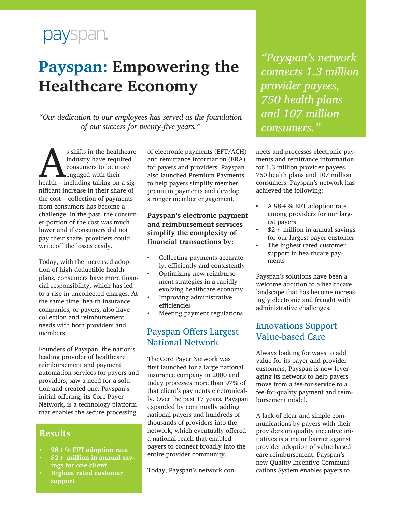# payspan.

# **Payspan: Empowering the Healthcare Economy**

*"Our dedication to our employees has served as the foundation of our success for twenty-five years."*

s shifts in the healthcare<br>
industry have required<br>
consumers to be more<br>
health – including taking on a sigindustry have required consumers to be more engaged with their nificant increase in their share of the cost – collection of payments from consumers has become a challenge. In the past, the consumer portion of the cost was much lower and if consumers did not pay their share, providers could write off the losses easily.

Today, with the increased adoption of high-deductible health plans, consumers have more financial responsibility, which has led to a rise in uncollected charges. At the same time, health insurance companies, or payers, also have collection and reimbursement needs with both providers and members.

Founders of Payspan, the nation's leading provider of healthcare reimbursement and payment automation services for payers and providers, saw a need for a solution and created one. Payspan's initial offering, its Core Payer Network, is a technology platform that enables the secure processing

#### **Results**

- **• 98+% EFT adoption rate**
- **• \$2+ million in annual savings for one client**
- **• Highest rated customer support**

of electronic payments (EFT/ACH) and remittance information (ERA) for payers and providers. Payspan also launched Premium Payments to help payers simplify member premium payments and develop stronger member engagement.

#### **Payspan's electronic payment and reimbursement services simplify the complexity of financial transactions by:**

- Collecting payments accurately, efficiently and consistently
- Optimizing new reimbursement strategies in a rapidly evolving healthcare economy
- Improving administrative efficiencies
- Meeting payment regulations

# Payspan Offers Largest National Network

The Core Payer Network was first launched for a large national insurance company in 2000 and today processes more than 97% of that client's payments electronically. Over the past 17 years, Payspan expanded by continually adding national payers and hundreds of thousands of providers into the network, which eventually offered a national reach that enabled payers to connect broadly into the entire provider community.

Today, Payspan's network con-

*"Payspan's network connects 1.3 million provider payees, 750 health plans and 107 million consumers."* 

nects and processes electronic payments and remittance information for 1.3 million provider payees, 750 health plans and 107 million consumers. Payspan's network has achieved the following:

- A  $98 +$ % EFT adoption rate among providers for our largest payers
- $$2+$  million in annual savings for our largest payer customer
- The highest rated customer support in healthcare payments

Payspan's solutions have been a welcome addition to a healthcare landscape that has become increasingly electronic and fraught with administrative challenges.

## Innovations Support Value-based Care

Always looking for ways to add value for its payer and provider customers, Payspan is now leveraging its network to help payers move from a fee-for-service to a fee-for-quality payment and reimbursement model.

A lack of clear and simple communications by payers with their providers on quality incentive initiatives is a major barrier against provider adoption of value-based care reimbursement. Payspan's new Quality Incentive Communications System enables payers to